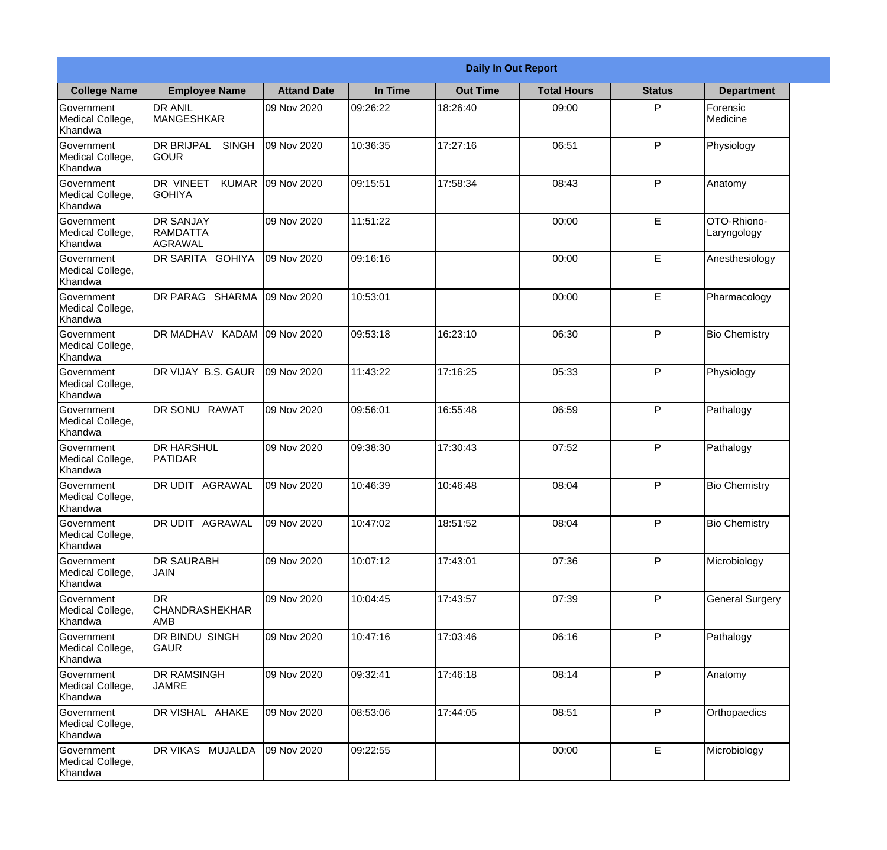|                                                  |                                                       |                    |          | <b>Daily In Out Report</b> |                    |               |                            |
|--------------------------------------------------|-------------------------------------------------------|--------------------|----------|----------------------------|--------------------|---------------|----------------------------|
| <b>College Name</b>                              | <b>Employee Name</b>                                  | <b>Attand Date</b> | In Time  | <b>Out Time</b>            | <b>Total Hours</b> | <b>Status</b> | <b>Department</b>          |
| Government<br>Medical College,<br>Khandwa        | <b>DR ANIL</b><br><b>MANGESHKAR</b>                   | 09 Nov 2020        | 09:26:22 | 18:26:40                   | 09:00              | P             | Forensic<br>Medicine       |
| Government<br>Medical College,<br>Khandwa        | <b>DR BRIJPAL</b><br><b>SINGH</b><br> GOUR            | 09 Nov 2020        | 10:36:35 | 17:27:16                   | 06:51              | P             | Physiology                 |
| <b>Government</b><br>Medical College,<br>Khandwa | <b>DR VINEET</b><br><b>KUMAR</b><br><b>I</b> GOHIYA   | 09 Nov 2020        | 09:15:51 | 17:58:34                   | 08:43              | P             | Anatomy                    |
| Government<br>Medical College,<br>Khandwa        | <b>DR SANJAY</b><br><b>RAMDATTA</b><br><b>AGRAWAL</b> | 09 Nov 2020        | 11:51:22 |                            | 00:00              | E             | OTO-Rhiono-<br>Laryngology |
| Government<br>Medical College,<br>Khandwa        | <b>DR SARITA GOHIYA</b>                               | 09 Nov 2020        | 09:16:16 |                            | 00:00              | E             | Anesthesiology             |
| Government<br>Medical College,<br>Khandwa        | DR PARAG SHARMA                                       | 09 Nov 2020        | 10:53:01 |                            | 00:00              | E             | Pharmacology               |
| Government<br>Medical College,<br>Khandwa        | DR MADHAV KADAM                                       | 09 Nov 2020        | 09:53:18 | 16:23:10                   | 06:30              | P             | <b>Bio Chemistry</b>       |
| <b>Government</b><br>Medical College,<br>Khandwa | DR VIJAY B.S. GAUR                                    | 09 Nov 2020        | 11:43:22 | 17:16:25                   | 05:33              | P             | Physiology                 |
| Government<br>Medical College,<br>Khandwa        | <b>DR SONU</b><br><b>RAWAT</b>                        | 09 Nov 2020        | 09:56:01 | 16:55:48                   | 06:59              | P             | Pathalogy                  |
| Government<br>Medical College,<br>Khandwa        | <b>DR HARSHUL</b><br>PATIDAR                          | 09 Nov 2020        | 09:38:30 | 17:30:43                   | 07:52              | P             | Pathalogy                  |
| Government<br>Medical College,<br>Khandwa        | IDR UDIT<br><b>AGRAWAL</b>                            | 09 Nov 2020        | 10:46:39 | 10:46:48                   | 08:04              | $\mathsf{P}$  | <b>Bio Chemistry</b>       |
| Government<br>Medical College,<br>Khandwa        | <b>DR UDIT AGRAWAL</b>                                | 09 Nov 2020        | 10:47:02 | 18:51:52                   | 08:04              | P             | <b>Bio Chemistry</b>       |
| Government<br>Medical College,<br>Khandwa        | <b>DR SAURABH</b><br><b>JAIN</b>                      | 09 Nov 2020        | 10:07:12 | 17:43:01                   | 07:36              | P             | Microbiology               |
| Government<br>Medical College,<br>Khandwa        | <b>DR</b><br><b>CHANDRASHEKHAR</b><br><b>AMB</b>      | 09 Nov 2020        | 10:04:45 | 17:43:57                   | 07:39              | P             | <b>General Surgery</b>     |
| Government<br>Medical College,<br>Khandwa        | <b>DR BINDU SINGH</b><br> GAUR                        | 09 Nov 2020        | 10:47:16 | 17:03:46                   | 06:16              | $\mathsf{P}$  | Pathalogy                  |
| Government<br>Medical College,<br>Khandwa        | <b>DR RAMSINGH</b><br><b>JAMRE</b>                    | 09 Nov 2020        | 09:32:41 | 17:46:18                   | 08:14              | P             | Anatomy                    |
| Government<br>Medical College,<br>Khandwa        | DR VISHAL AHAKE                                       | 09 Nov 2020        | 08:53:06 | 17:44:05                   | 08:51              | P             | Orthopaedics               |
| Government<br>Medical College,<br>Khandwa        | DR VIKAS MUJALDA                                      | 09 Nov 2020        | 09:22:55 |                            | 00:00              | E             | Microbiology               |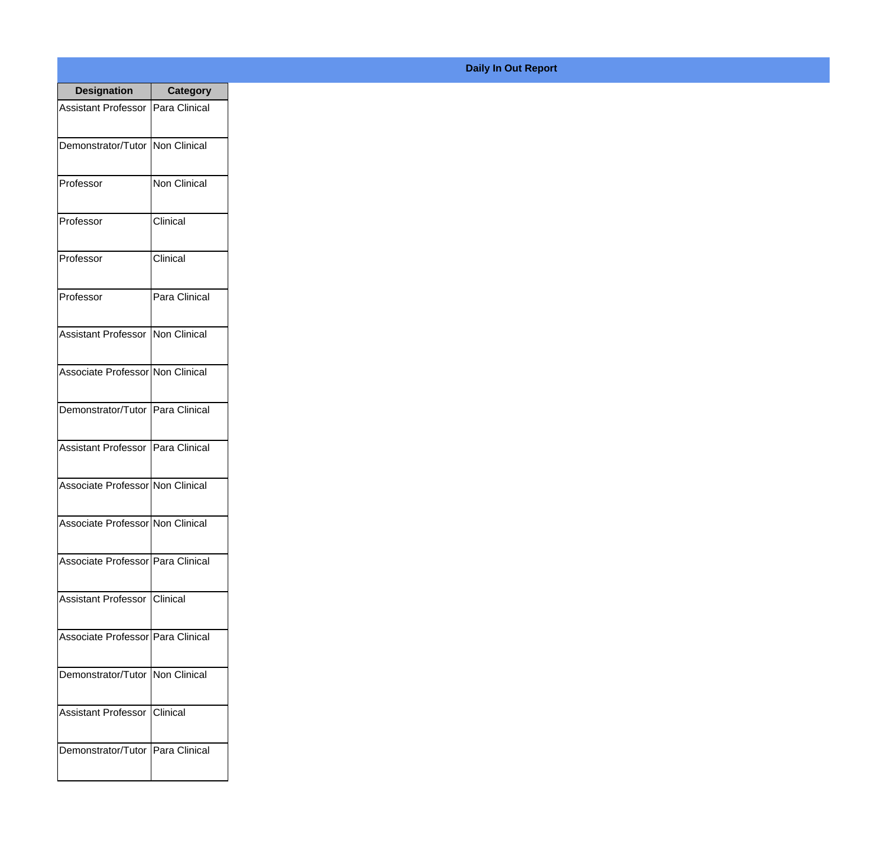| <b>Designation</b>                  | Category            |
|-------------------------------------|---------------------|
| <b>Assistant Professor</b>          | Para Clinical       |
| Demonstrator/Tutor                  | <b>Non Clinical</b> |
| Professor                           | <b>Non Clinical</b> |
| Professor                           | Clinical            |
| Professor                           | Clinical            |
| Professor                           | Para Clinical       |
| Assistant Professor   Non Clinical  |                     |
| Associate Professor Non Clinical    |                     |
| Demonstrator/Tutor   Para Clinical  |                     |
| <b>Assistant Professor</b>          | Para Clinical       |
| Associate Professor Non Clinical    |                     |
| Associate Professor Non Clinical    |                     |
| Associate Professor   Para Clinical |                     |
| Assistant Professor   Clinical      |                     |
| Associate Professor Para Clinical   |                     |
| Demonstrator/Tutor   Non Clinical   |                     |
| <b>Assistant Professor</b>          | <b>Clinical</b>     |
| Demonstrator/Tutor   Para Clinical  |                     |

## **Daily In Out Report**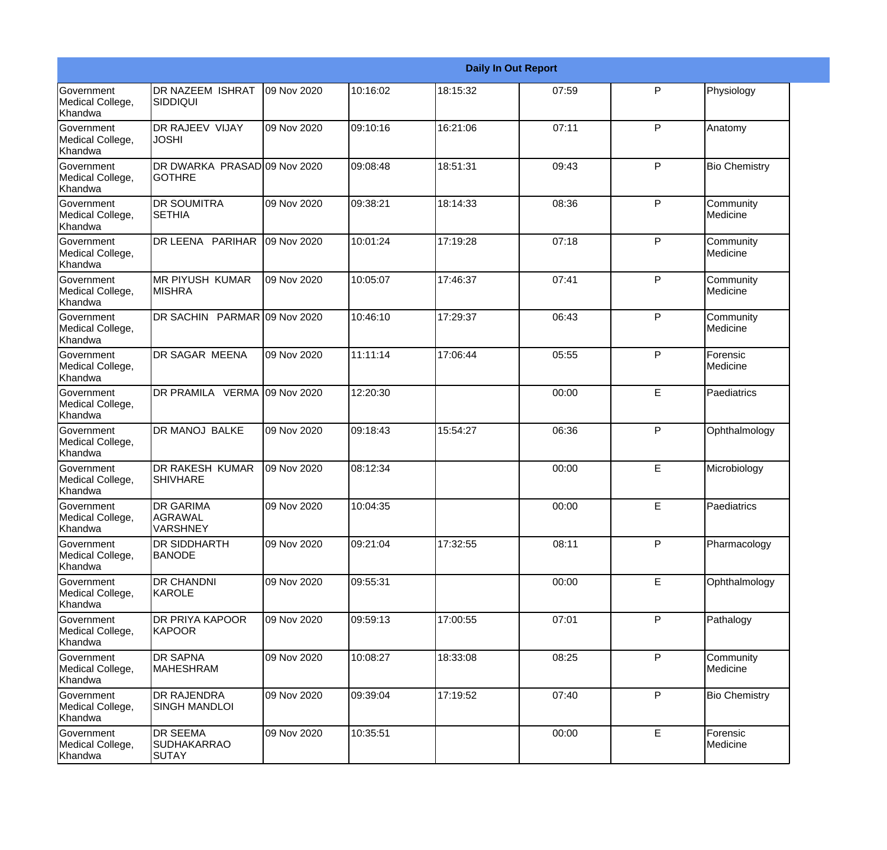|                                                  |                                                       |             |          |          | <b>Daily In Out Report</b> |              |                       |
|--------------------------------------------------|-------------------------------------------------------|-------------|----------|----------|----------------------------|--------------|-----------------------|
| <b>Government</b><br>Medical College,<br>Khandwa | DR NAZEEM ISHRAT<br><b>SIDDIQUI</b>                   | 09 Nov 2020 | 10:16:02 | 18:15:32 | 07:59                      | P            | Physiology            |
| Government<br>Medical College,<br>Khandwa        | DR RAJEEV VIJAY<br><b>JOSHI</b>                       | 09 Nov 2020 | 09:10:16 | 16:21:06 | 07:11                      | $\mathsf{P}$ | Anatomy               |
| <b>Government</b><br>Medical College,<br>Khandwa | DR DWARKA PRASAD 09 Nov 2020<br>lgothre               |             | 09:08:48 | 18:51:31 | 09:43                      | $\mathsf{P}$ | <b>Bio Chemistry</b>  |
| <b>Government</b><br>Medical College,<br>Khandwa | <b>DR SOUMITRA</b><br><b>SETHIA</b>                   | 09 Nov 2020 | 09:38:21 | 18:14:33 | 08:36                      | $\mathsf{P}$ | Community<br>Medicine |
| Government<br>Medical College,<br>Khandwa        | DR LEENA PARIHAR                                      | 09 Nov 2020 | 10:01:24 | 17:19:28 | 07:18                      | $\mathsf{P}$ | Community<br>Medicine |
| Government<br>Medical College,<br>Khandwa        | <b>MR PIYUSH KUMAR</b><br><b>MISHRA</b>               | 09 Nov 2020 | 10:05:07 | 17:46:37 | 07:41                      | $\mathsf{P}$ | Community<br>Medicine |
| <b>Government</b><br>Medical College,<br>Khandwa | DR SACHIN PARMAR 09 Nov 2020                          |             | 10:46:10 | 17:29:37 | 06:43                      | $\mathsf{P}$ | Community<br>Medicine |
| <b>Government</b><br>Medical College,<br>Khandwa | DR SAGAR MEENA                                        | 09 Nov 2020 | 11:11:14 | 17:06:44 | 05:55                      | $\mathsf{P}$ | Forensic<br>Medicine  |
| Government<br>Medical College,<br>Khandwa        | DR PRAMILA VERMA                                      | 09 Nov 2020 | 12:20:30 |          | 00:00                      | E            | Paediatrics           |
| <b>Government</b><br>Medical College,<br>Khandwa | <b>DR MANOJ BALKE</b>                                 | 09 Nov 2020 | 09:18:43 | 15:54:27 | 06:36                      | $\mathsf{P}$ | Ophthalmology         |
| <b>Government</b><br>Medical College,<br>Khandwa | <b>DR RAKESH KUMAR</b><br><b>SHIVHARE</b>             | 09 Nov 2020 | 08:12:34 |          | 00:00                      | E            | Microbiology          |
| Government<br>Medical College,<br>Khandwa        | <b>DR GARIMA</b><br><b>AGRAWAL</b><br><b>VARSHNEY</b> | 09 Nov 2020 | 10:04:35 |          | 00:00                      | E            | Paediatrics           |
| Government<br>Medical College,<br>Khandwa        | <b>DR SIDDHARTH</b><br><b>BANODE</b>                  | 09 Nov 2020 | 09:21:04 | 17:32:55 | 08:11                      | P            | Pharmacology          |
| <b>Government</b><br>Medical College,<br>Khandwa | DR CHANDNI<br>KAROLE                                  | 09 Nov 2020 | 09:55:31 |          | 00:00                      | E            | Ophthalmology         |
| Government<br>Medical College,<br>Khandwa        | <b>DR PRIYA KAPOOR</b><br>KAPOOR                      | 09 Nov 2020 | 09:59:13 | 17:00:55 | 07:01                      | P            | Pathalogy             |
| Government<br>Medical College,<br>Khandwa        | DR SAPNA<br><b>MAHESHRAM</b>                          | 09 Nov 2020 | 10:08:27 | 18:33:08 | 08:25                      | $\mathsf{P}$ | Community<br>Medicine |
| Government<br>Medical College,<br>Khandwa        | DR RAJENDRA<br><b>SINGH MANDLOI</b>                   | 09 Nov 2020 | 09:39:04 | 17:19:52 | 07:40                      | P            | <b>Bio Chemistry</b>  |
| Government<br>Medical College,<br>Khandwa        | DR SEEMA<br><b>SUDHAKARRAO</b><br>SUTAY               | 09 Nov 2020 | 10:35:51 |          | 00:00                      | E            | Forensic<br>Medicine  |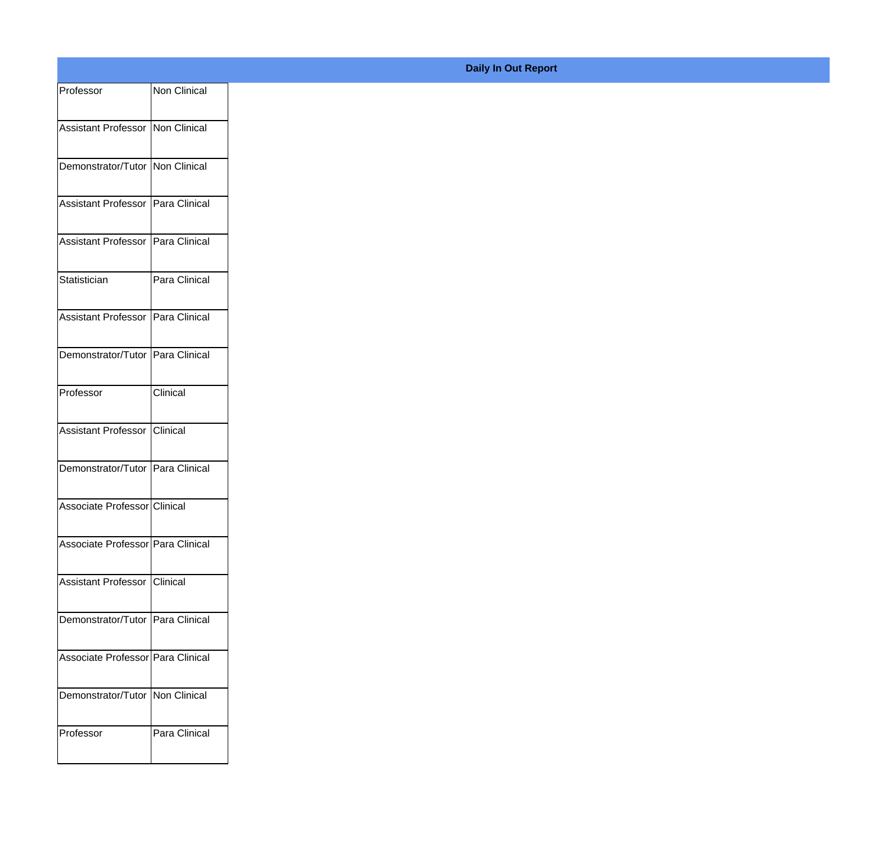| Professor                           | Non Clinical  |
|-------------------------------------|---------------|
| Assistant Professor Non Clinical    |               |
|                                     |               |
| Demonstrator/Tutor Non Clinical     |               |
| Assistant Professor Para Clinical   |               |
| Assistant Professor Para Clinical   |               |
| Statistician                        | Para Clinical |
| Assistant Professor   Para Clinical |               |
| Demonstrator/Tutor Para Clinical    |               |
| Professor                           | Clinical      |
| Assistant Professor Clinical        |               |
| Demonstrator/Tutor Para Clinical    |               |
| Associate Professor Clinical        |               |
| Associate Professor Para Clinical   |               |
| Assistant Professor Clinical        |               |
| Demonstrator/Tutor Para Clinical    |               |
| Associate Professor Para Clinical   |               |
|                                     |               |
| Demonstrator/Tutor   Non Clinical   |               |
| Professor                           | Para Clinical |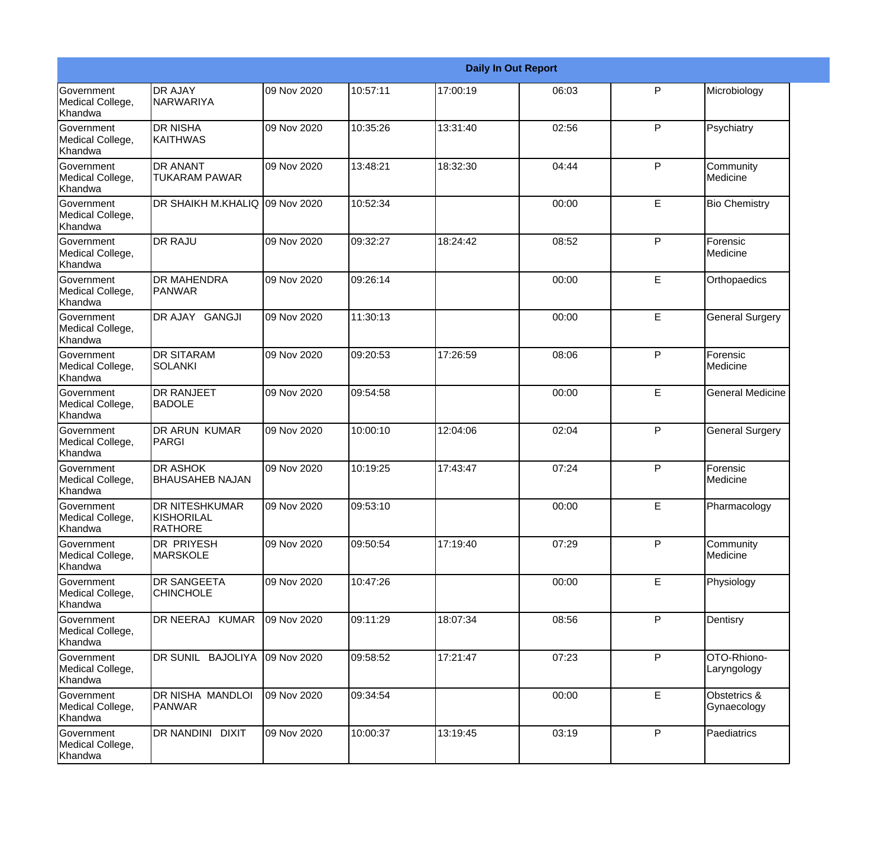|                                                  |                                                |             |          |          | <b>Daily In Out Report</b> |              |                             |
|--------------------------------------------------|------------------------------------------------|-------------|----------|----------|----------------------------|--------------|-----------------------------|
| <b>Government</b><br>Medical College,<br>Khandwa | <b>DR AJAY</b><br>NARWARIYA                    | 09 Nov 2020 | 10:57:11 | 17:00:19 | 06:03                      | P            | Microbiology                |
| Government<br>Medical College,<br>Khandwa        | <b>DR NISHA</b><br><b>KAITHWAS</b>             | 09 Nov 2020 | 10:35:26 | 13:31:40 | 02:56                      | $\mathsf{P}$ | Psychiatry                  |
| Government<br>Medical College,<br>Khandwa        | <b>DR ANANT</b><br><b>TUKARAM PAWAR</b>        | 09 Nov 2020 | 13:48:21 | 18:32:30 | 04:44                      | $\mathsf{P}$ | Community<br>Medicine       |
| Government<br>Medical College,<br>Khandwa        | DR SHAIKH M.KHALIQ 09 Nov 2020                 |             | 10:52:34 |          | 00:00                      | E            | <b>Bio Chemistry</b>        |
| <b>Government</b><br>Medical College,<br>Khandwa | <b>DR RAJU</b>                                 | 09 Nov 2020 | 09:32:27 | 18:24:42 | 08:52                      | P            | Forensic<br>Medicine        |
| Government<br>Medical College,<br>Khandwa        | <b>DR MAHENDRA</b><br>IPANWAR                  | 09 Nov 2020 | 09:26:14 |          | 00:00                      | E            | Orthopaedics                |
| Government<br>Medical College,<br>Khandwa        | DR AJAY GANGJI                                 | 09 Nov 2020 | 11:30:13 |          | 00:00                      | E            | <b>General Surgery</b>      |
| Government<br>Medical College,<br>Khandwa        | <b>DR SITARAM</b><br>SOLANKI                   | 09 Nov 2020 | 09:20:53 | 17:26:59 | 08:06                      | $\mathsf{P}$ | Forensic<br>Medicine        |
| <b>Government</b><br>Medical College,<br>Khandwa | DR RANJEET<br><b>BADOLE</b>                    | 09 Nov 2020 | 09:54:58 |          | 00:00                      | E            | <b>General Medicine</b>     |
| <b>Government</b><br>Medical College,<br>Khandwa | <b>DR ARUN KUMAR</b><br><b>PARGI</b>           | 09 Nov 2020 | 10:00:10 | 12:04:06 | 02:04                      | $\mathsf{P}$ | <b>General Surgery</b>      |
| <b>Government</b><br>Medical College,<br>Khandwa | <b>DR ASHOK</b><br>IBHAUSAHEB NAJAN            | 09 Nov 2020 | 10:19:25 | 17:43:47 | 07:24                      | P            | Forensic<br>Medicine        |
| Government<br>Medical College,<br>Khandwa        | DR NITESHKUMAR<br>KISHORILAL<br><b>RATHORE</b> | 09 Nov 2020 | 09:53:10 |          | 00:00                      | E            | Pharmacology                |
| Government<br>Medical College,<br>Khandwa        | DR PRIYESH<br><b>MARSKOLE</b>                  | 09 Nov 2020 | 09:50:54 | 17:19:40 | 07:29                      | P            | Community<br>Medicine       |
| Government<br>Medical College,<br>Khandwa        | DR SANGEETA<br><b>CHINCHOLE</b>                | 09 Nov 2020 | 10:47:26 |          | 00:00                      | E            | Physiology                  |
| Government<br>Medical College,<br>Khandwa        | DR NEERAJ KUMAR                                | 09 Nov 2020 | 09:11:29 | 18:07:34 | 08:56                      | $\mathsf{P}$ | Dentisry                    |
| Government<br>Medical College,<br>Khandwa        | DR SUNIL BAJOLIYA                              | 09 Nov 2020 | 09:58:52 | 17:21:47 | 07:23                      | P            | OTO-Rhiono-<br>Laryngology  |
| Government<br>Medical College,<br>Khandwa        | DR NISHA MANDLOI<br><b>PANWAR</b>              | 09 Nov 2020 | 09:34:54 |          | 00:00                      | E            | Obstetrics &<br>Gynaecology |
| Government<br>Medical College,<br>Khandwa        | DR NANDINI DIXIT                               | 09 Nov 2020 | 10:00:37 | 13:19:45 | 03:19                      | P            | Paediatrics                 |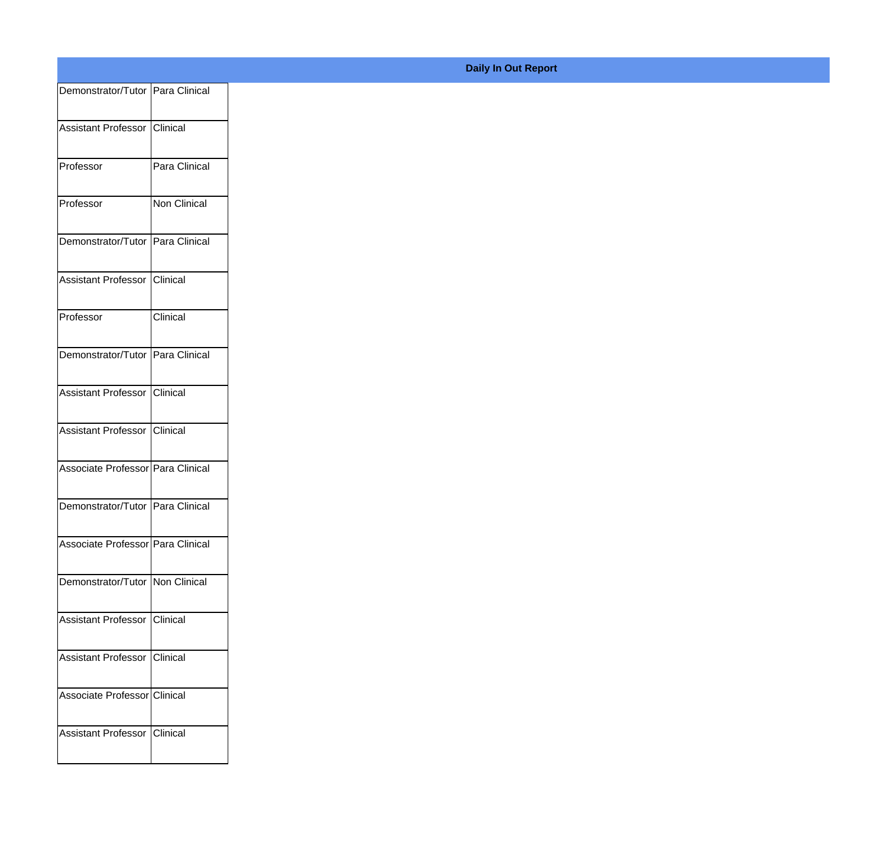| Demonstrator/Tutor Para Clinical   |               |
|------------------------------------|---------------|
| Assistant Professor Clinical       |               |
|                                    |               |
| Professor                          | Para Clinical |
| Professor                          | Non Clinical  |
| Demonstrator/Tutor Para Clinical   |               |
| Assistant Professor Clinical       |               |
| Professor                          | Clinical      |
| Demonstrator/Tutor Para Clinical   |               |
| Assistant Professor Clinical       |               |
| Assistant Professor Clinical       |               |
| Associate Professor Para Clinical  |               |
| Demonstrator/Tutor   Para Clinical |               |
| Associate Professor Para Clinical  |               |
| Demonstrator/Tutor Non Clinical    |               |
| Assistant Professor Clinical       |               |
| Assistant Professor Clinical       |               |
| Associate Professor Clinical       |               |
|                                    |               |
| Assistant Professor Clinical       |               |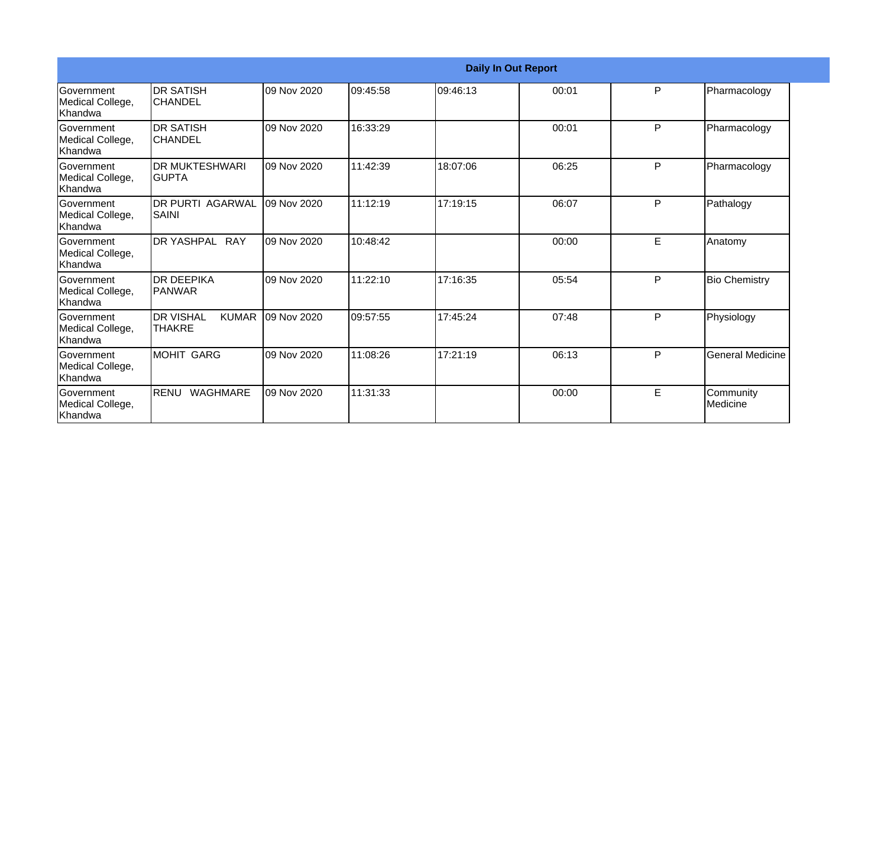|                                                  | <b>Daily In Out Report</b>                        |             |          |           |       |   |                         |
|--------------------------------------------------|---------------------------------------------------|-------------|----------|-----------|-------|---|-------------------------|
| Government<br>Medical College,<br>Khandwa        | <b>DR SATISH</b><br><b>CHANDEL</b>                | 09 Nov 2020 | 09:45:58 | 109:46:13 | 00:01 | P | Pharmacology            |
| Government<br>Medical College,<br>Khandwa        | <b>DR SATISH</b><br><b>CHANDEL</b>                | 09 Nov 2020 | 16:33:29 |           | 00:01 | P | Pharmacology            |
| Government<br>Medical College,<br>Khandwa        | <b>DR MUKTESHWARI</b><br><b>GUPTA</b>             | 09 Nov 2020 | 11:42:39 | 18:07:06  | 06:25 | P | Pharmacology            |
| Government<br>Medical College,<br>Khandwa        | <b>DR PURTI AGARWAL</b><br><b>SAINI</b>           | 09 Nov 2020 | 11:12:19 | 17:19:15  | 06:07 | P | Pathalogy               |
| Government<br>Medical College,<br>Khandwa        | DR YASHPAL RAY                                    | 09 Nov 2020 | 10:48:42 |           | 00:00 | E | Anatomy                 |
| <b>Government</b><br>Medical College,<br>Khandwa | <b>DR DEEPIKA</b><br>PANWAR                       | 09 Nov 2020 | 11:22:10 | 17:16:35  | 05:54 | P | <b>Bio Chemistry</b>    |
| Government<br>Medical College,<br>Khandwa        | <b>DR VISHAL</b><br><b>KUMAR</b><br><b>THAKRE</b> | 09 Nov 2020 | 09:57:55 | 17:45:24  | 07:48 | P | Physiology              |
| Government<br>Medical College,<br>Khandwa        | <b>MOHIT GARG</b>                                 | 09 Nov 2020 | 11:08:26 | 17:21:19  | 06:13 | P | <b>General Medicine</b> |
| Government<br>Medical College,<br>Khandwa        | <b>RENU</b><br><b>WAGHMARE</b>                    | 09 Nov 2020 | 11:31:33 |           | 00:00 | E | Community<br>Medicine   |